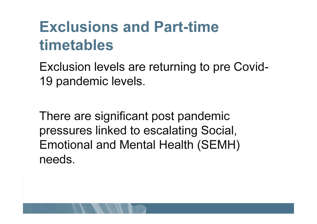# Exclusions and Part-time timetables

Exclusion levels are returning to pre Covid19 pandemic levels.

There are significant post pandemic pressures linked to escalating Social, Emotional and Mental Health (SEMH) needs.

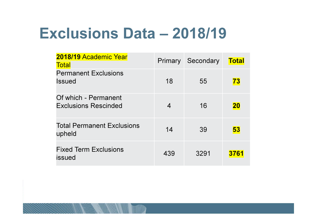# Exclusions Data – 2018/19

| 2018/19 Academic Year<br><b>Total</b>               | <b>Primary</b> | Secondary | <b>Total</b> |
|-----------------------------------------------------|----------------|-----------|--------------|
| <b>Permanent Exclusions</b><br><b>Issued</b>        | 18             | 55        | 73           |
| Of which - Permanent<br><b>Exclusions Rescinded</b> | 4              | 16        | <b>20</b>    |
| <b>Total Permanent Exclusions</b><br>upheld         | 14             | 39        | 53           |
| <b>Fixed Term Exclusions</b><br>issued              | 439            | 3291      | 3761         |

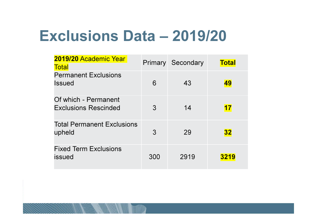## Exclusions Data – 2019/20

| 2019/20 Academic Year<br><b>Total</b>               |               | <b>Primary Secondary</b> | <b>Total</b> |
|-----------------------------------------------------|---------------|--------------------------|--------------|
| <b>Permanent Exclusions</b><br><b>Issued</b>        | 6             | 43                       | 49           |
| Of which - Permanent<br><b>Exclusions Rescinded</b> | 3             | 14                       | <b>17</b>    |
| <b>Total Permanent Exclusions</b><br>upheld         | $\mathcal{S}$ | 29                       | <b>32</b>    |
| <b>Fixed Term Exclusions</b><br>issued              | 300           | 2919                     | 3219         |

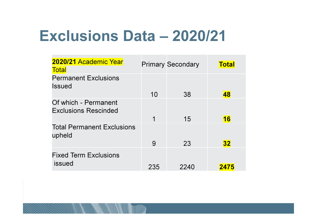## Exclusions Data – 2020/21

| 2020/21 Academic Year<br><b>Total</b>               |     | <b>Primary Secondary</b> | <b>Total</b> |
|-----------------------------------------------------|-----|--------------------------|--------------|
| <b>Permanent Exclusions</b><br><b>Issued</b>        | 10  | 38                       | 48           |
| Of which - Permanent<br><b>Exclusions Rescinded</b> | 1   | 15                       | <b>16</b>    |
| <b>Total Permanent Exclusions</b><br>upheld         | 9   | 23                       | <b>32</b>    |
| <b>Fixed Term Exclusions</b><br>issued              | 235 | 2240                     | 2475         |

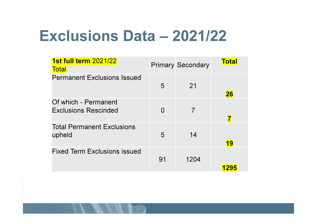## Exclusions Data – 2021/22

| 1st full term 2021/22<br><b>Total</b>               |          | <b>Primary Secondary</b> | <b>Total</b> |
|-----------------------------------------------------|----------|--------------------------|--------------|
| <b>Permanent Exclusions Issued</b>                  | 5        | 21                       | <b>26</b>    |
| Of which - Permanent<br><b>Exclusions Rescinded</b> | $\Omega$ | 7                        |              |
| <b>Total Permanent Exclusions</b><br>upheld         | 5        | 14                       | <b>19</b>    |
| <b>Fixed Term Exclusions issued</b>                 | 91       | 1204                     | 1295         |

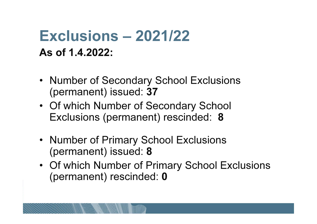## Exclusions – 2021/22As of 1.4.2022:

- Number of Secondary School Exclusions (permanent) issued: 37
- Of which Number of Secondary School Exclusions (permanent) rescinded: 8
- Number of Primary School Exclusions (permanent) issued: **8**
- Of which Number of Primary School Exclusions (permanent) rescinded: **0**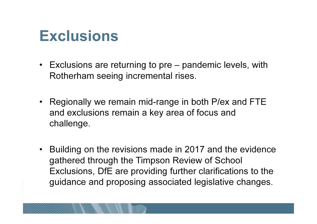### **Exclusions**

- Exclusions are returning to pre pandemic levels, with Rotherham seeing incremental rises.
- Regionally we remain mid-range in both P/ex and FTEand exclusions remain a key area of focus and challenge.
- • Building on the revisions made in 2017 and the evidencegathered through the Timpson Review of School Exclusions, DfE are providing further clarifications to the guidance and proposing associated legislative changes.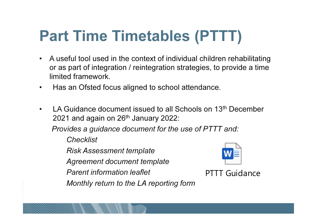# Part Time Timetables (PTTT)

- A useful tool used in the context of individual children rehabilitating or as part of integration / reintegration strategies, to provide a time limited framework.
- •Has an Ofsted focus aligned to school attendance.
- •LA Guidance document issued to all Schools on 13<sup>th</sup> December 2021 and again on 26<sup>th</sup> January 2022:

Provides a guidance document for the use of PTTT and:

**Checklist** 

Risk Assessment template

Agreement document template

Parent information leaflet

Monthly return to the LA reporting form



PTTT Guidance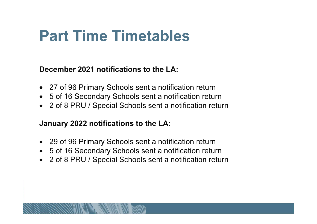## Part Time Timetables

December 2021 notifications to the LA:

- 27 of 96 Primary Schools sent a notification return
- 5 of 16 Secondary Schools sent a notification retur n $\bullet$
- 2 of 8 PRU / Special Schools sent a notification return  $\bullet$

#### January 2022 notifications to the LA:

- 29 of 96 Primary Schools sent a notification return
- 5 of 16 Secondary Schools sent a notification retur n $\bullet$
- 2 of 8 PRU / Special Schools sent a notification return  $\bullet$

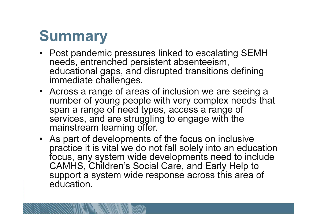# Summary

- Post pandemic pressures linked to escalating SEMH needs, entrenched persistent absenteeism, educational gaps, and disrupted transitions defining immediate challenges.
- Across a range of areas of inclusion we are seeing a number of young people with very complex needs that span a range of need types, access a range of services, and are struggling to engage with the mainstream learning offer.
- As part of developments of the focus on inclusive practice it is vital we do not fall solely into an education focus, any system wide developments need to include CAMHS, Children's Social Care, and Early Help to support a system wide response across this area of education.